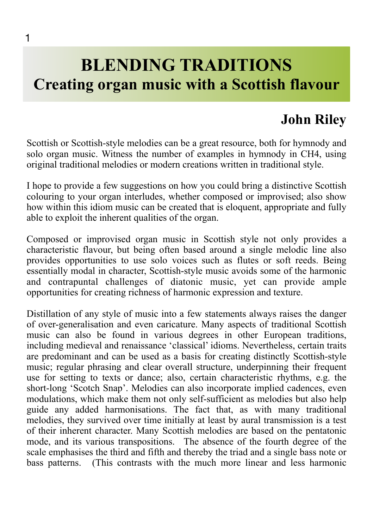## **BLENDING TRADITIONS Creating organ music with a Scottish flavour**

## **John Riley**

Scottish or Scottish-style melodies can be a great resource, both for hymnody and solo organ music. Witness the number of examples in hymnody in CH4, using original traditional melodies or modern creations written in traditional style.

I hope to provide a few suggestions on how you could bring a distinctive Scottish colouring to your organ interludes, whether composed or improvised; also show how within this idiom music can be created that is eloquent, appropriate and fully able to exploit the inherent qualities of the organ.

Composed or improvised organ music in Scottish style not only provides a characteristic flavour, but being often based around a single melodic line also provides opportunities to use solo voices such as flutes or soft reeds. Being essentially modal in character, Scottish-style music avoids some of the harmonic and contrapuntal challenges of diatonic music, yet can provide ample opportunities for creating richness of harmonic expression and texture.

Distillation of any style of music into a few statements always raises the danger of over-generalisation and even caricature. Many aspects of traditional Scottish music can also be found in various degrees in other European traditions, including medieval and renaissance 'classical' idioms. Nevertheless, certain traits are predominant and can be used as a basis for creating distinctly Scottish-style music; regular phrasing and clear overall structure, underpinning their frequent use for setting to texts or dance; also, certain characteristic rhythms, e.g. the short-long 'Scotch Snap'. Melodies can also incorporate implied cadences, even modulations, which make them not only self-sufficient as melodies but also help guide any added harmonisations. The fact that, as with many traditional melodies, they survived over time initially at least by aural transmission is a test of their inherent character. Many Scottish melodies are based on the pentatonic mode, and its various transpositions. The absence of the fourth degree of the scale emphasises the third and fifth and thereby the triad and a single bass note or bass patterns. (This contrasts with the much more linear and less harmonic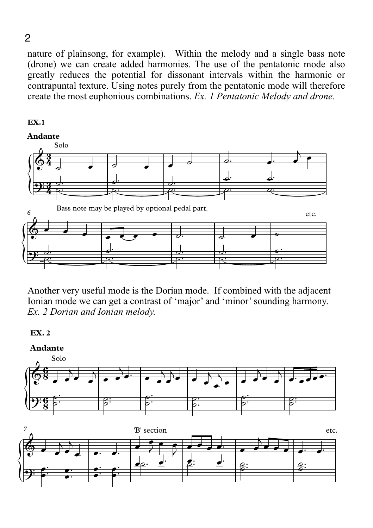nature of plainsong, for example). Within the melody and a single bass note (drone) we can create added harmonies. The use of the pentatonic mode also greatly reduces the potential for dissonant intervals within the harmonic or contrapuntal texture. Using notes purely from the pentatonic mode will therefore create the most euphonious combinations. *Ex. 1 Pentatonic Melody and drone.* 



Another very useful mode is the Dorian mode. If combined with the adjacent Ionian mode we can get a contrast of 'major' and 'minor' sounding harmony. *Ex. 2 Dorian and Ionian melody.* 



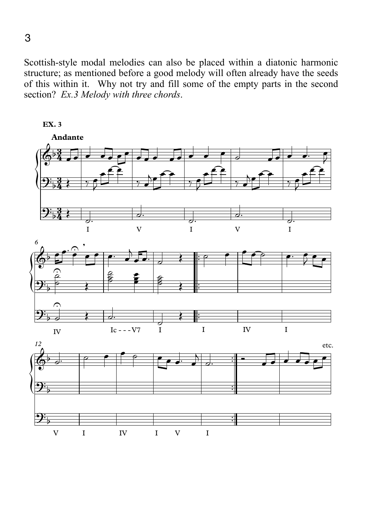Scottish-style modal melodies can also be placed within a diatonic harmonic structure; as mentioned before a good melody will often already have the seeds of this within it. Why not try and fill some of the empty parts in the second section? *Ex.3 Melody with three chords*.



**EX. 3**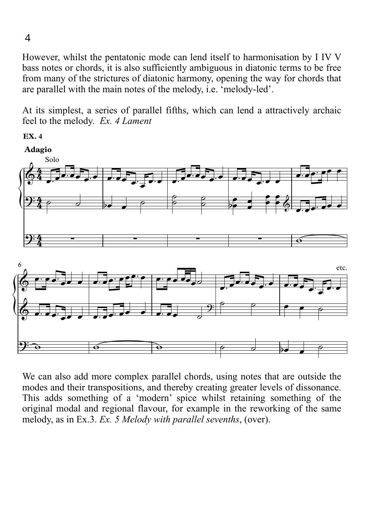However, whilst the pentatonic mode can lend itself to harmonisation by I IV V bass notes or chords, it is also sufficiently ambiguous in diatonic terms to be free from many of the strictures of diatonic harmony, opening the way for chords that are parallel with the main notes of the melody, i.e. 'melody-led'.

At its simplest, a series of parallel fifths, which can lend a attractively archaic feel to the melody. Ex. 4 Lament

**EX. 4** 



We can also add more complex parallel chords, using notes that are outside the modes and their transpositions, and thereby creating greater levels of dissonance. This adds something of a 'modern' spice whilst retaining something of the original modal and regional flavour, for example in the reworking of the same melody, as in Ex.3. Ex. 5 Melody with parallel sevenths, (over).